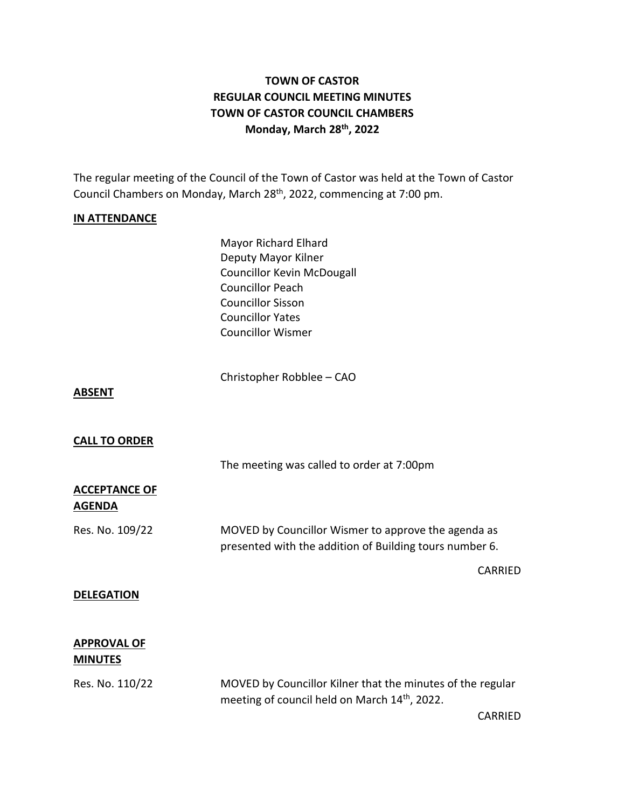# **TOWN OF CASTOR REGULAR COUNCIL MEETING MINUTES TOWN OF CASTOR COUNCIL CHAMBERS Monday, March 28th , 2022**

The regular meeting of the Council of the Town of Castor was held at the Town of Castor Council Chambers on Monday, March 28<sup>th</sup>, 2022, commencing at 7:00 pm.

#### **IN ATTENDANCE**

Mayor Richard Elhard Deputy Mayor Kilner Councillor Kevin McDougall Councillor Peach Councillor Sisson Councillor Yates Councillor Wismer

Christopher Robblee – CAO

#### **ABSENT**

## **CALL TO ORDER**

The meeting was called to order at 7:00pm

#### **ACCEPTANCE OF AGENDA**

Res. No. 109/22 MOVED by Councillor Wismer to approve the agenda as presented with the addition of Building tours number 6.

#### **DELEGATION**

## **APPROVAL OF MINUTES**

Res. No. 110/22 MOVED by Councillor Kilner that the minutes of the regular meeting of council held on March 14<sup>th</sup>, 2022.

CARRIED

CARRIED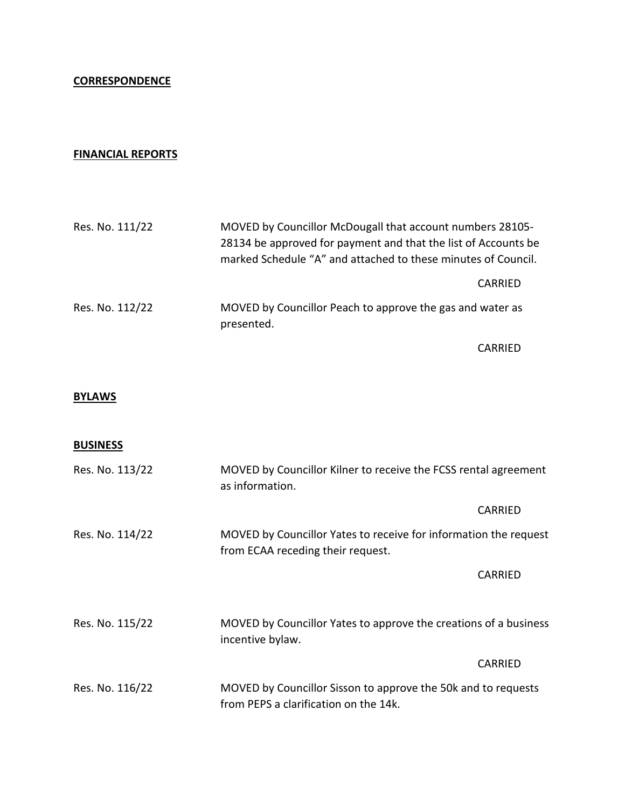## **FINANCIAL REPORTS**

| Res. No. 111/22 | MOVED by Councillor McDougall that account numbers 28105-<br>28134 be approved for payment and that the list of Accounts be<br>marked Schedule "A" and attached to these minutes of Council. |  |
|-----------------|----------------------------------------------------------------------------------------------------------------------------------------------------------------------------------------------|--|
|                 | CARRIED                                                                                                                                                                                      |  |
| Res. No. 112/22 | MOVED by Councillor Peach to approve the gas and water as<br>presented.                                                                                                                      |  |

CARRIED

## **BYLAWS**

## **BUSINESS**

| Res. No. 113/22 | MOVED by Councillor Kilner to receive the FCSS rental agreement<br>as information.                     |  |
|-----------------|--------------------------------------------------------------------------------------------------------|--|
|                 | CARRIED                                                                                                |  |
| Res. No. 114/22 | MOVED by Councillor Yates to receive for information the request<br>from ECAA receding their request.  |  |
|                 | CARRIED                                                                                                |  |
|                 |                                                                                                        |  |
| Res. No. 115/22 | MOVED by Councillor Yates to approve the creations of a business<br>incentive bylaw.                   |  |
|                 | CARRIED                                                                                                |  |
| Res. No. 116/22 | MOVED by Councillor Sisson to approve the 50k and to requests<br>from PEPS a clarification on the 14k. |  |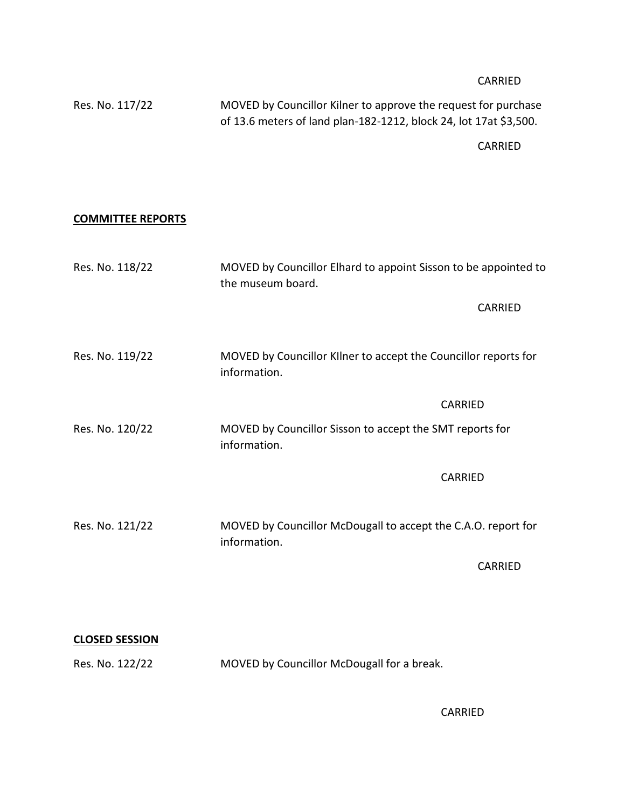## CARRIED

| Res. No. 117/22 | MOVED by Councillor Kilner to approve the request for purchase    |  |  |
|-----------------|-------------------------------------------------------------------|--|--|
|                 | of 13.6 meters of land plan-182-1212, block 24, lot 17at \$3,500. |  |  |

CARRIED

## **COMMITTEE REPORTS**

| Res. No. 118/22 | MOVED by Councillor Elhard to appoint Sisson to be appointed to<br>the museum board. |  |  |
|-----------------|--------------------------------------------------------------------------------------|--|--|
|                 | CARRIED                                                                              |  |  |
| Res. No. 119/22 | MOVED by Councillor Kilner to accept the Councillor reports for<br>information.      |  |  |
|                 | <b>CARRIED</b>                                                                       |  |  |
| Res. No. 120/22 | MOVED by Councillor Sisson to accept the SMT reports for<br>information.             |  |  |
|                 | <b>CARRIED</b>                                                                       |  |  |
| Res. No. 121/22 | MOVED by Councillor McDougall to accept the C.A.O. report for<br>information.        |  |  |
|                 | <b>CARRIED</b>                                                                       |  |  |
|                 |                                                                                      |  |  |

## **CLOSED SESSION**

Res. No. 122/22 MOVED by Councillor McDougall for a break.

CARRIED